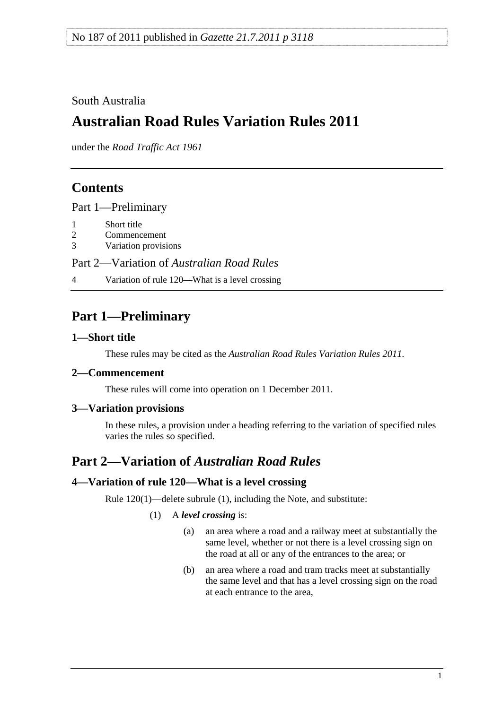### <span id="page-0-0"></span>South Australia

# **Australian Road Rules Variation Rules 2011**

under the *Road Traffic Act 1961*

## **Contents**

[Part 1—Preliminary](#page-0-0)

- [1 Short title](#page-0-0)
- [2 Commencement](#page-0-0)
- [3 Variation provisions](#page-0-0)

Part 2—Variation of *[Australian Road Rules](#page-0-0)*

[4 Variation of rule 120—What is a level crossing](#page-0-0) 

## **Part 1—Preliminary**

#### **1—Short title**

These rules may be cited as the *[Australian Road Rules Variation Rules 2011](http://www.legislation.sa.gov.au/index.aspx?action=legref&type=subordleg&legtitle=Australian%20Road%20Rules%20Variation%20Rules%202011)*.

### **2—Commencement**

These rules will come into operation on 1 December 2011.

### **3—Variation provisions**

In these rules, a provision under a heading referring to the variation of specified rules varies the rules so specified.

## **Part 2—Variation of** *Australian Road Rules*

#### **4—Variation of rule 120—What is a level crossing**

Rule 120(1)—delete subrule (1), including the Note, and substitute:

(1) A *level crossing* is:

- (a) an area where a road and a railway meet at substantially the same level, whether or not there is a level crossing sign on the road at all or any of the entrances to the area; or
- (b) an area where a road and tram tracks meet at substantially the same level and that has a level crossing sign on the road at each entrance to the area,